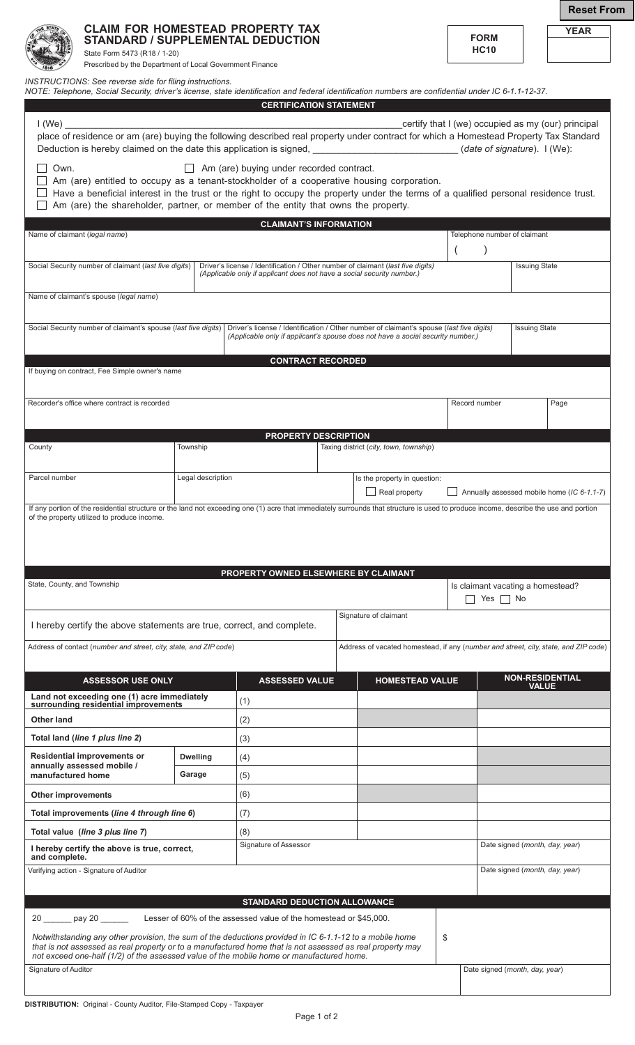|                                  | State Form 5473 (R18 / 1-20)<br>Prescribed by the Department of Local Government Finance |                   | <b>CLAIM FOR HOMESTEAD PROPERTY TAX</b><br><b>STANDARD / SUPPLEMENTAL DEDUCTION</b>                                                                                                                                                                                    |  |                                                                                     |               | <b>FORM</b><br><b>HC10</b>        |                      | YEAR                                               |  |
|----------------------------------|------------------------------------------------------------------------------------------|-------------------|------------------------------------------------------------------------------------------------------------------------------------------------------------------------------------------------------------------------------------------------------------------------|--|-------------------------------------------------------------------------------------|---------------|-----------------------------------|----------------------|----------------------------------------------------|--|
|                                  | INSTRUCTIONS: See reverse side for filing instructions.                                  |                   | NOTE: Telephone, Social Security, driver's license, state identification and federal identification numbers are confidential under IC 6-1.1-12-37.                                                                                                                     |  |                                                                                     |               |                                   |                      |                                                    |  |
|                                  |                                                                                          |                   | <b>CERTIFICATION STATEMENT</b>                                                                                                                                                                                                                                         |  |                                                                                     |               |                                   |                      |                                                    |  |
| $1$ (We)                         |                                                                                          |                   |                                                                                                                                                                                                                                                                        |  |                                                                                     |               |                                   |                      | certify that I (we) occupied as my (our) principal |  |
|                                  |                                                                                          |                   | place of residence or am (are) buying the following described real property under contract for which a Homestead Property Tax Standard<br>Deduction is hereby claimed on the date this application is signed, ____________________________(date of signature). I (We): |  |                                                                                     |               |                                   |                      |                                                    |  |
| Own.                             |                                                                                          |                   | $\Box$ Am (are) buying under recorded contract.                                                                                                                                                                                                                        |  |                                                                                     |               |                                   |                      |                                                    |  |
|                                  |                                                                                          |                   | $\Box$ Am (are) entitled to occupy as a tenant-stockholder of a cooperative housing corporation.                                                                                                                                                                       |  |                                                                                     |               |                                   |                      |                                                    |  |
|                                  |                                                                                          |                   | Have a beneficial interest in the trust or the right to occupy the property under the terms of a qualified personal residence trust.<br>Am (are) the shareholder, partner, or member of the entity that owns the property.                                             |  |                                                                                     |               |                                   |                      |                                                    |  |
|                                  |                                                                                          |                   |                                                                                                                                                                                                                                                                        |  |                                                                                     |               |                                   |                      |                                                    |  |
| Name of claimant (legal name)    |                                                                                          |                   | <b>CLAIMANT'S INFORMATION</b>                                                                                                                                                                                                                                          |  |                                                                                     |               | Telephone number of claimant      |                      |                                                    |  |
|                                  |                                                                                          |                   |                                                                                                                                                                                                                                                                        |  |                                                                                     |               |                                   |                      |                                                    |  |
|                                  | Social Security number of claimant (last five digits)                                    |                   | Driver's license / Identification / Other number of claimant (last five digits)                                                                                                                                                                                        |  |                                                                                     |               |                                   | <b>Issuing State</b> |                                                    |  |
|                                  |                                                                                          |                   | (Applicable only if applicant does not have a social security number.)                                                                                                                                                                                                 |  |                                                                                     |               |                                   |                      |                                                    |  |
|                                  | Name of claimant's spouse (legal name)                                                   |                   |                                                                                                                                                                                                                                                                        |  |                                                                                     |               |                                   |                      |                                                    |  |
|                                  |                                                                                          |                   |                                                                                                                                                                                                                                                                        |  |                                                                                     |               |                                   |                      |                                                    |  |
|                                  | Social Security number of claimant's spouse (last five digits)                           |                   | Driver's license / Identification / Other number of claimant's spouse (last five digits)<br>(Applicable only if applicant's spouse does not have a social security number.)                                                                                            |  |                                                                                     |               |                                   | <b>Issuing State</b> |                                                    |  |
|                                  |                                                                                          |                   |                                                                                                                                                                                                                                                                        |  |                                                                                     |               |                                   |                      |                                                    |  |
|                                  |                                                                                          |                   | <b>CONTRACT RECORDED</b>                                                                                                                                                                                                                                               |  |                                                                                     |               |                                   |                      |                                                    |  |
|                                  | If buying on contract, Fee Simple owner's name                                           |                   |                                                                                                                                                                                                                                                                        |  |                                                                                     |               |                                   |                      |                                                    |  |
|                                  |                                                                                          |                   |                                                                                                                                                                                                                                                                        |  |                                                                                     |               |                                   |                      |                                                    |  |
|                                  | Recorder's office where contract is recorded                                             |                   |                                                                                                                                                                                                                                                                        |  |                                                                                     | Record number |                                   |                      | Page                                               |  |
|                                  |                                                                                          |                   |                                                                                                                                                                                                                                                                        |  |                                                                                     |               |                                   |                      |                                                    |  |
| County                           |                                                                                          | Township          | <b>PROPERTY DESCRIPTION</b>                                                                                                                                                                                                                                            |  | Taxing district (city, town, township)                                              |               |                                   |                      |                                                    |  |
|                                  |                                                                                          |                   |                                                                                                                                                                                                                                                                        |  |                                                                                     |               |                                   |                      |                                                    |  |
| Parcel number                    |                                                                                          | Legal description |                                                                                                                                                                                                                                                                        |  | Is the property in question:                                                        |               |                                   |                      |                                                    |  |
|                                  |                                                                                          |                   |                                                                                                                                                                                                                                                                        |  | Real property                                                                       |               |                                   |                      | Annually assessed mobile home (IC 6-1.1-7)         |  |
|                                  |                                                                                          |                   | If any portion of the residential structure or the land not exceeding one (1) acre that immediately surrounds that structure is used to produce income, describe the use and portion                                                                                   |  |                                                                                     |               |                                   |                      |                                                    |  |
|                                  | of the property utilized to produce income.                                              |                   |                                                                                                                                                                                                                                                                        |  |                                                                                     |               |                                   |                      |                                                    |  |
|                                  |                                                                                          |                   |                                                                                                                                                                                                                                                                        |  |                                                                                     |               |                                   |                      |                                                    |  |
|                                  |                                                                                          |                   |                                                                                                                                                                                                                                                                        |  |                                                                                     |               |                                   |                      |                                                    |  |
|                                  |                                                                                          |                   | PROPERTY OWNED ELSEWHERE BY CLAIMANT                                                                                                                                                                                                                                   |  |                                                                                     |               |                                   |                      |                                                    |  |
| State, County, and Township      |                                                                                          |                   |                                                                                                                                                                                                                                                                        |  |                                                                                     |               | Is claimant vacating a homestead? |                      |                                                    |  |
|                                  |                                                                                          |                   |                                                                                                                                                                                                                                                                        |  |                                                                                     |               | Yes $\Box$ No                     |                      |                                                    |  |
|                                  |                                                                                          |                   | I hereby certify the above statements are true, correct, and complete.                                                                                                                                                                                                 |  | Signature of claimant                                                               |               |                                   |                      |                                                    |  |
|                                  |                                                                                          |                   |                                                                                                                                                                                                                                                                        |  |                                                                                     |               |                                   |                      |                                                    |  |
|                                  | Address of contact (number and street, city, state, and ZIP code)                        |                   |                                                                                                                                                                                                                                                                        |  | Address of vacated homestead, if any (number and street, city, state, and ZIP code) |               |                                   |                      |                                                    |  |
|                                  |                                                                                          |                   |                                                                                                                                                                                                                                                                        |  |                                                                                     |               |                                   |                      |                                                    |  |
|                                  | <b>ASSESSOR USE ONLY</b>                                                                 |                   | <b>ASSESSED VALUE</b>                                                                                                                                                                                                                                                  |  | <b>HOMESTEAD VALUE</b>                                                              |               |                                   | <b>VALUE</b>         | <b>NON-RESIDENTIAL</b>                             |  |
|                                  | Land not exceeding one (1) acre immediately<br>surrounding residential improvements      |                   | (1)                                                                                                                                                                                                                                                                    |  |                                                                                     |               |                                   |                      |                                                    |  |
| <b>Other land</b>                |                                                                                          |                   | (2)                                                                                                                                                                                                                                                                    |  |                                                                                     |               |                                   |                      |                                                    |  |
|                                  | Total land (line 1 plus line 2)                                                          |                   | (3)                                                                                                                                                                                                                                                                    |  |                                                                                     |               |                                   |                      |                                                    |  |
|                                  |                                                                                          |                   |                                                                                                                                                                                                                                                                        |  |                                                                                     |               |                                   |                      |                                                    |  |
|                                  | <b>Residential improvements or</b><br>annually assessed mobile /                         | <b>Dwelling</b>   | (4)                                                                                                                                                                                                                                                                    |  |                                                                                     |               |                                   |                      |                                                    |  |
| manufactured home                |                                                                                          | Garage            | (5)                                                                                                                                                                                                                                                                    |  |                                                                                     |               |                                   |                      |                                                    |  |
| <b>Other improvements</b>        |                                                                                          |                   | (6)                                                                                                                                                                                                                                                                    |  |                                                                                     |               |                                   |                      |                                                    |  |
|                                  | Total improvements (line 4 through line 6)                                               |                   | (7)                                                                                                                                                                                                                                                                    |  |                                                                                     |               |                                   |                      |                                                    |  |
| Total value (line 3 plus line 7) |                                                                                          |                   | (8)                                                                                                                                                                                                                                                                    |  |                                                                                     |               |                                   |                      |                                                    |  |
|                                  | I hereby certify the above is true, correct,                                             |                   | Signature of Assessor                                                                                                                                                                                                                                                  |  |                                                                                     |               |                                   |                      | Date signed (month, day, year)                     |  |
| and complete.                    |                                                                                          |                   |                                                                                                                                                                                                                                                                        |  |                                                                                     |               |                                   |                      |                                                    |  |
|                                  | Verifying action - Signature of Auditor                                                  |                   |                                                                                                                                                                                                                                                                        |  |                                                                                     |               | Date signed (month, day, year)    |                      |                                                    |  |
|                                  |                                                                                          |                   | <b>STANDARD DEDUCTION ALLOWANCE</b>                                                                                                                                                                                                                                    |  |                                                                                     |               |                                   |                      |                                                    |  |
|                                  | 20 ______ pay 20 ___                                                                     |                   | Lesser of 60% of the assessed value of the homestead or \$45,000.                                                                                                                                                                                                      |  |                                                                                     |               |                                   |                      |                                                    |  |
|                                  |                                                                                          |                   |                                                                                                                                                                                                                                                                        |  |                                                                                     |               |                                   |                      |                                                    |  |
|                                  |                                                                                          |                   | Notwithstanding any other provision, the sum of the deductions provided in IC 6-1.1-12 to a mobile home<br>that is not assessed as real property or to a manufactured home that is not assessed as real property may                                                   |  |                                                                                     | \$            |                                   |                      |                                                    |  |
|                                  |                                                                                          |                   | not exceed one-half (1/2) of the assessed value of the mobile home or manufactured home.                                                                                                                                                                               |  |                                                                                     |               |                                   |                      |                                                    |  |
| Signature of Auditor             |                                                                                          |                   |                                                                                                                                                                                                                                                                        |  |                                                                                     |               | Date signed (month, day, year)    |                      |                                                    |  |

**Reset From**